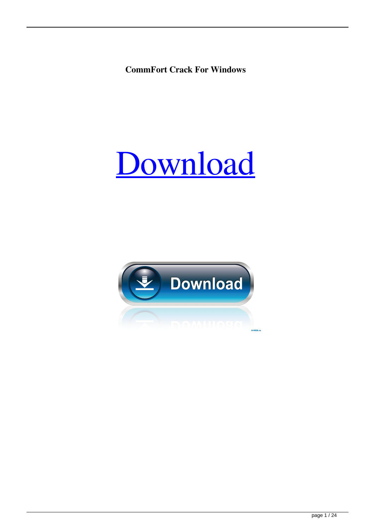**CommFort Crack For Windows**

# [Download](http://evacdir.com/?quads=Q29tbUZvcnQQ29.ZG93bmxvYWR8N3JWTkdsNlpYeDhNVFkxTkRVeU1qRXhNSHg4TWpVM05IeDhLRTBwSUhKbFlXUXRZbXh2WnlCYlJtRnpkQ0JIUlU1ZA=sidereus=azelaic/equalise/henman/insurgents)

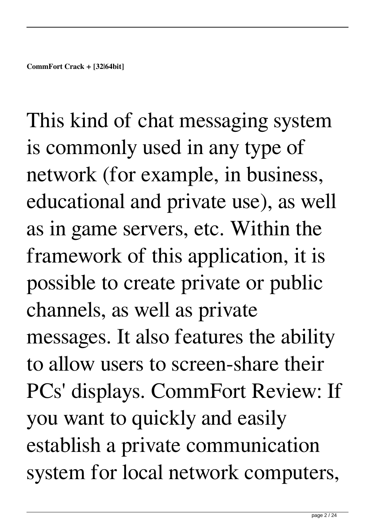This kind of chat messaging system is commonly used in any type of network (for example, in business, educational and private use), as well as in game servers, etc. Within the framework of this application, it is possible to create private or public channels, as well as private messages. It also features the ability to allow users to screen-share their PCs' displays. CommFort Review: If you want to quickly and easily establish a private communication system for local network computers,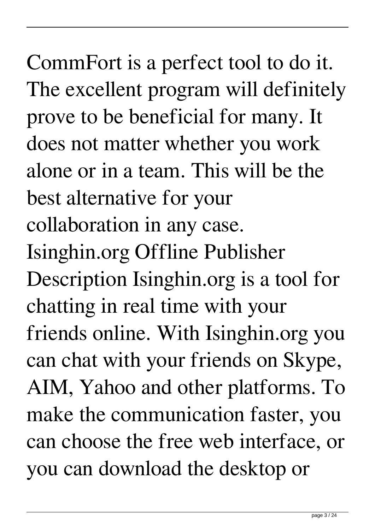CommFort is a perfect tool to do it. The excellent program will definitely prove to be beneficial for many. It does not matter whether you work alone or in a team. This will be the best alternative for your collaboration in any case. Isinghin.org Offline Publisher Description Isinghin.org is a tool for chatting in real time with your friends online. With Isinghin.org you can chat with your friends on Skype, AIM, Yahoo and other platforms. To make the communication faster, you can choose the free web interface, or you can download the desktop or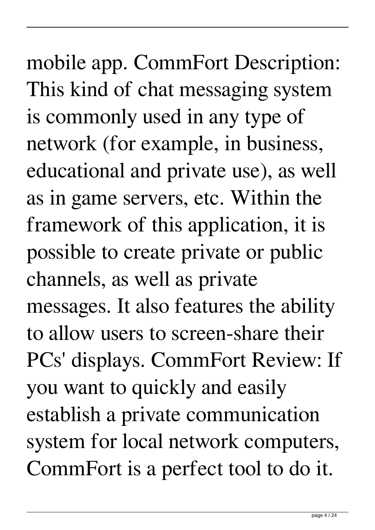mobile app. CommFort Description: This kind of chat messaging system is commonly used in any type of network (for example, in business, educational and private use), as well as in game servers, etc. Within the framework of this application, it is possible to create private or public channels, as well as private messages. It also features the ability to allow users to screen-share their PCs' displays. CommFort Review: If you want to quickly and easily establish a private communication system for local network computers, CommFort is a perfect tool to do it.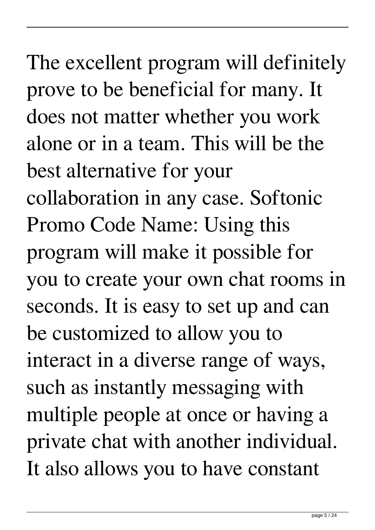The excellent program will definitely prove to be beneficial for many. It does not matter whether you work alone or in a team. This will be the best alternative for your collaboration in any case. Softonic Promo Code Name: Using this program will make it possible for you to create your own chat rooms in seconds. It is easy to set up and can be customized to allow you to interact in a diverse range of ways, such as instantly messaging with multiple people at once or having a private chat with another individual. It also allows you to have constant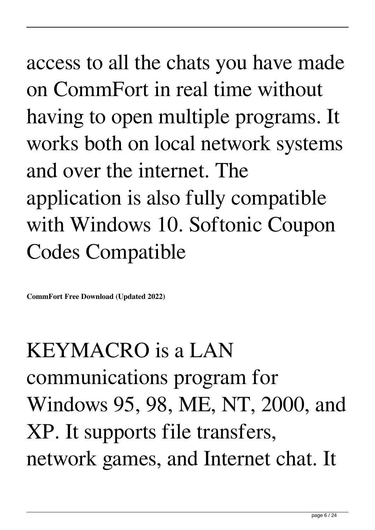access to all the chats you have made on CommFort in real time without having to open multiple programs. It works both on local network systems and over the internet. The application is also fully compatible with Windows 10. Softonic Coupon Codes Compatible

**CommFort Free Download (Updated 2022)**

KEYMACRO is a LAN communications program for Windows 95, 98, ME, NT, 2000, and XP. It supports file transfers, network games, and Internet chat. It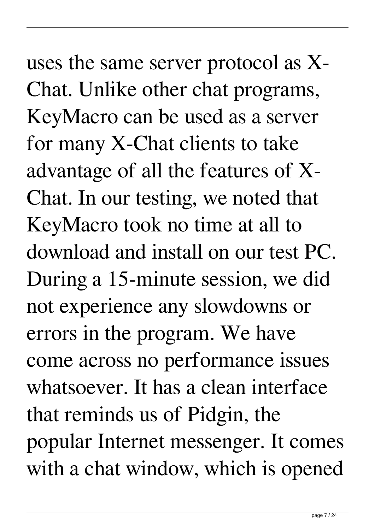## uses the same server protocol as X-Chat. Unlike other chat programs, KeyMacro can be used as a server for many X-Chat clients to take advantage of all the features of X-Chat. In our testing, we noted that KeyMacro took no time at all to download and install on our test PC. During a 15-minute session, we did not experience any slowdowns or errors in the program. We have come across no performance issues whatsoever. It has a clean interface that reminds us of Pidgin, the popular Internet messenger. It comes with a chat window, which is opened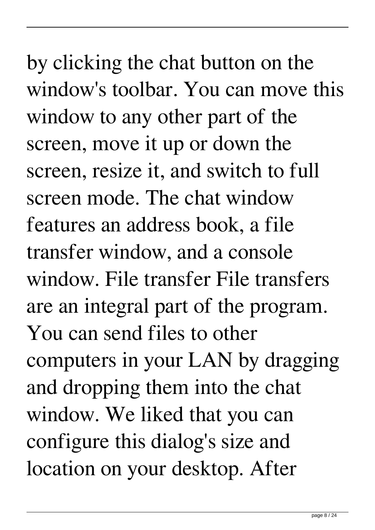by clicking the chat button on the window's toolbar. You can move this window to any other part of the screen, move it up or down the screen, resize it, and switch to full screen mode. The chat window features an address book, a file transfer window, and a console window. File transfer File transfers are an integral part of the program. You can send files to other computers in your LAN by dragging and dropping them into the chat window. We liked that you can configure this dialog's size and location on your desktop. After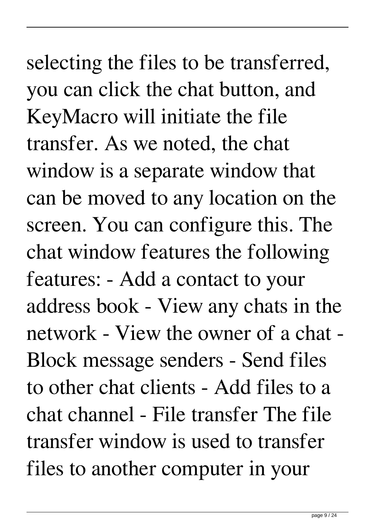## selecting the files to be transferred, you can click the chat button, and KeyMacro will initiate the file transfer. As we noted, the chat window is a separate window that can be moved to any location on the screen. You can configure this. The chat window features the following features: - Add a contact to your address book - View any chats in the network - View the owner of a chat - Block message senders - Send files to other chat clients - Add files to a chat channel - File transfer The file transfer window is used to transfer files to another computer in your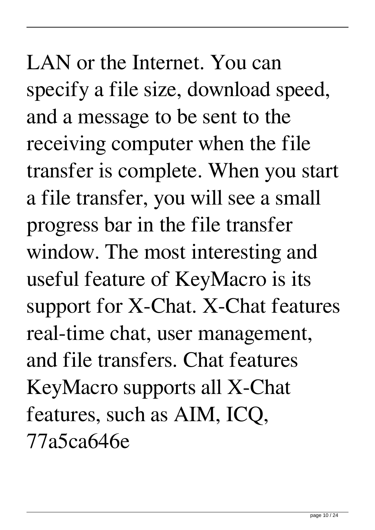LAN or the Internet. You can specify a file size, download speed, and a message to be sent to the receiving computer when the file transfer is complete. When you start a file transfer, you will see a small progress bar in the file transfer window. The most interesting and useful feature of KeyMacro is its support for X-Chat. X-Chat features real-time chat, user management, and file transfers. Chat features KeyMacro supports all X-Chat features, such as AIM, ICQ, 77a5ca646e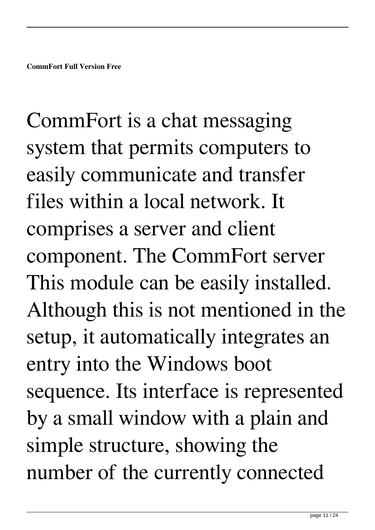CommFort is a chat messaging system that permits computers to easily communicate and transfer files within a local network. It comprises a server and client component. The CommFort server This module can be easily installed. Although this is not mentioned in the setup, it automatically integrates an entry into the Windows boot sequence. Its interface is represented by a small window with a plain and simple structure, showing the number of the currently connected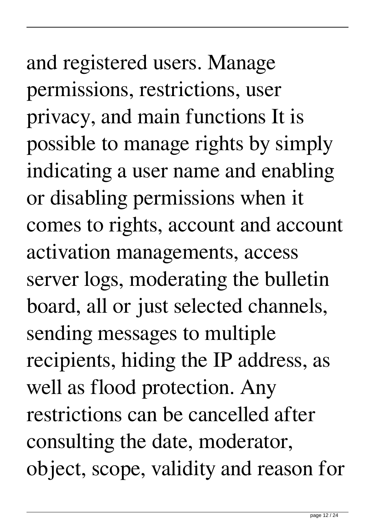and registered users. Manage permissions, restrictions, user privacy, and main functions It is possible to manage rights by simply indicating a user name and enabling or disabling permissions when it comes to rights, account and account activation managements, access server logs, moderating the bulletin board, all or just selected channels, sending messages to multiple recipients, hiding the IP address, as well as flood protection. Any restrictions can be cancelled after consulting the date, moderator, object, scope, validity and reason for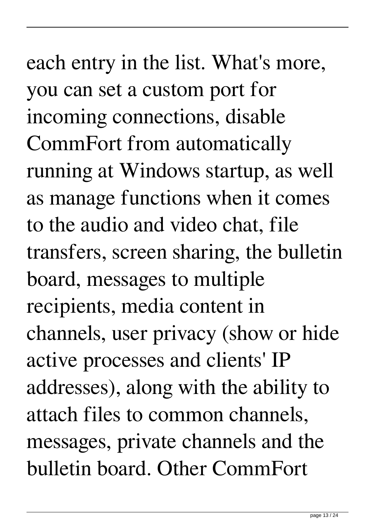## each entry in the list. What's more, you can set a custom port for incoming connections, disable CommFort from automatically running at Windows startup, as well as manage functions when it comes to the audio and video chat, file transfers, screen sharing, the bulletin board, messages to multiple recipients, media content in channels, user privacy (show or hide active processes and clients' IP addresses), along with the ability to attach files to common channels, messages, private channels and the bulletin board. Other CommFort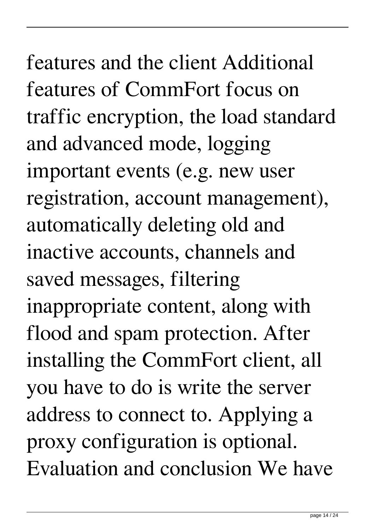## features and the client Additional features of CommFort focus on traffic encryption, the load standard and advanced mode, logging important events (e.g. new user registration, account management), automatically deleting old and inactive accounts, channels and saved messages, filtering inappropriate content, along with flood and spam protection. After installing the CommFort client, all you have to do is write the server address to connect to. Applying a proxy configuration is optional. Evaluation and conclusion We have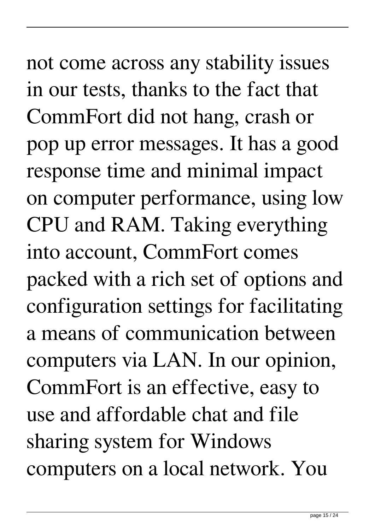not come across any stability issues in our tests, thanks to the fact that CommFort did not hang, crash or pop up error messages. It has a good response time and minimal impact on computer performance, using low CPU and RAM. Taking everything into account, CommFort comes packed with a rich set of options and configuration settings for facilitating a means of communication between computers via LAN. In our opinion, CommFort is an effective, easy to use and affordable chat and file sharing system for Windows computers on a local network. You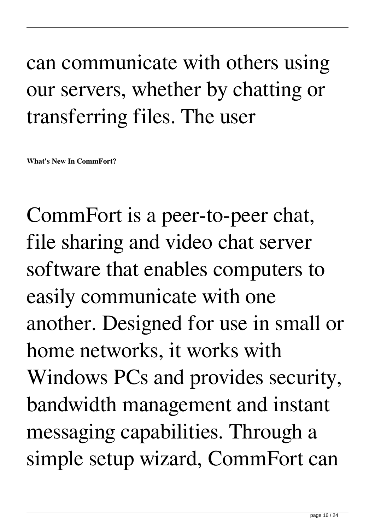#### can communicate with others using our servers, whether by chatting or transferring files. The user

**What's New In CommFort?**

CommFort is a peer-to-peer chat, file sharing and video chat server software that enables computers to easily communicate with one another. Designed for use in small or home networks, it works with Windows PCs and provides security, bandwidth management and instant messaging capabilities. Through a simple setup wizard, CommFort can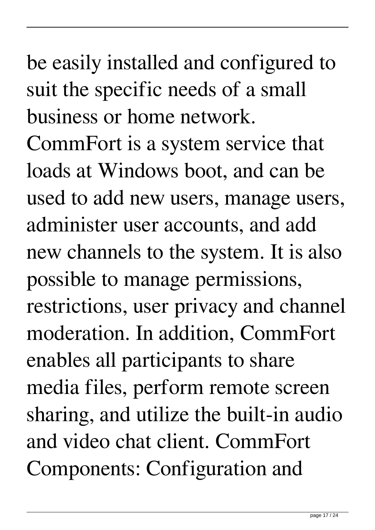#### be easily installed and configured to suit the specific needs of a small business or home network.

CommFort is a system service that loads at Windows boot, and can be used to add new users, manage users, administer user accounts, and add new channels to the system. It is also possible to manage permissions, restrictions, user privacy and channel moderation. In addition, CommFort enables all participants to share media files, perform remote screen sharing, and utilize the built-in audio and video chat client. CommFort Components: Configuration and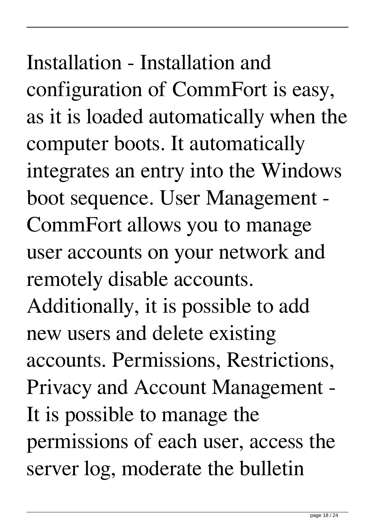Installation - Installation and configuration of CommFort is easy, as it is loaded automatically when the computer boots. It automatically integrates an entry into the Windows boot sequence. User Management - CommFort allows you to manage user accounts on your network and remotely disable accounts. Additionally, it is possible to add new users and delete existing accounts. Permissions, Restrictions, Privacy and Account Management - It is possible to manage the permissions of each user, access the

server log, moderate the bulletin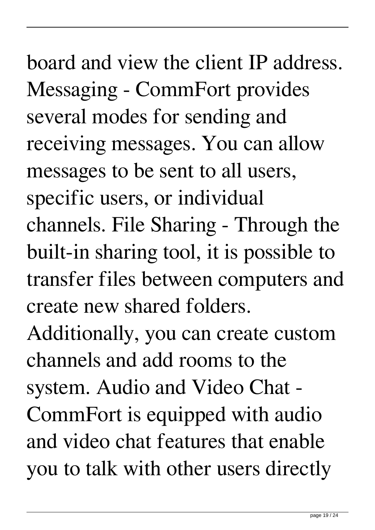board and view the client IP address. Messaging - CommFort provides several modes for sending and receiving messages. You can allow messages to be sent to all users, specific users, or individual channels. File Sharing - Through the built-in sharing tool, it is possible to transfer files between computers and create new shared folders. Additionally, you can create custom channels and add rooms to the system. Audio and Video Chat - CommFort is equipped with audio and video chat features that enable

you to talk with other users directly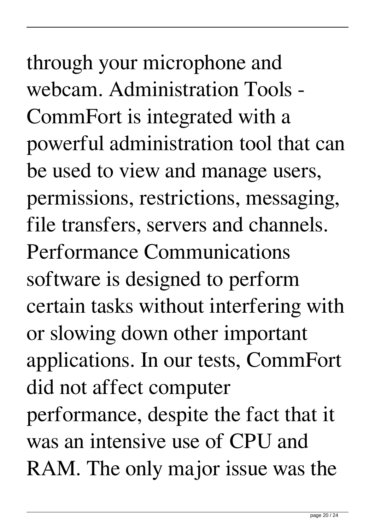through your microphone and webcam. Administration Tools - CommFort is integrated with a powerful administration tool that can be used to view and manage users, permissions, restrictions, messaging, file transfers, servers and channels. Performance Communications software is designed to perform certain tasks without interfering with or slowing down other important applications. In our tests, CommFort did not affect computer performance, despite the fact that it was an intensive use of CPU and RAM. The only major issue was the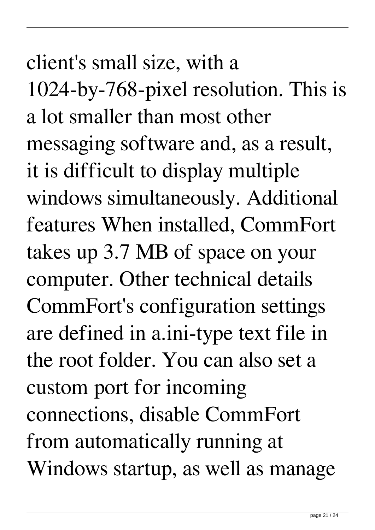client's small size, with a 1024-by-768-pixel resolution. This is a lot smaller than most other messaging software and, as a result, it is difficult to display multiple windows simultaneously. Additional features When installed, CommFort takes up 3.7 MB of space on your computer. Other technical details CommFort's configuration settings are defined in a.ini-type text file in the root folder. You can also set a custom port for incoming connections, disable CommFort from automatically running at Windows startup, as well as manage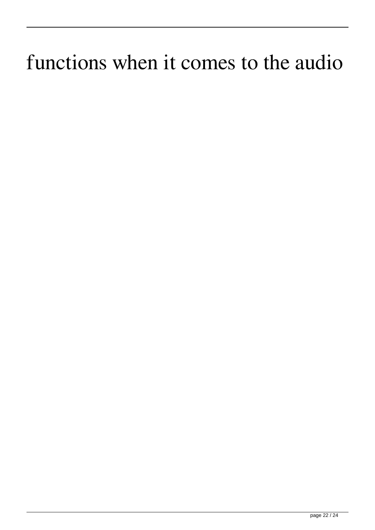#### functions when it comes to the audio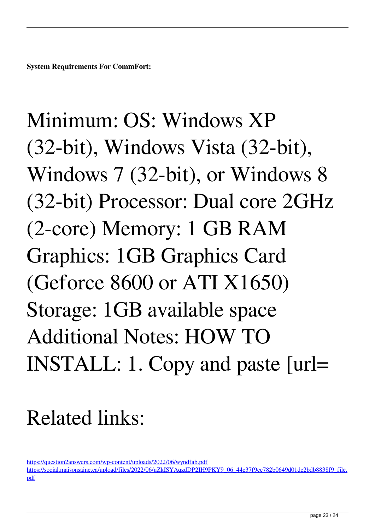Minimum: OS: Windows XP (32-bit), Windows Vista (32-bit), Windows 7 (32-bit), or Windows 8 (32-bit) Processor: Dual core 2GHz (2-core) Memory: 1 GB RAM Graphics: 1GB Graphics Card (Geforce 8600 or ATI X1650) Storage: 1GB available space Additional Notes: HOW TO INSTALL: 1. Copy and paste [url=

#### Related links:

[https://social.maisonsaine.ca/upload/files/2022/06/uZkISYAqzdDP2IH9PKY9\\_06\\_44e37f9cc782b0649d01de2bdb8838f9\\_file.](https://social.maisonsaine.ca/upload/files/2022/06/uZkISYAqzdDP2IH9PKY9_06_44e37f9cc782b0649d01de2bdb8838f9_file.pdf) [pdf](https://social.maisonsaine.ca/upload/files/2022/06/uZkISYAqzdDP2IH9PKY9_06_44e37f9cc782b0649d01de2bdb8838f9_file.pdf)

<https://question2answers.com/wp-content/uploads/2022/06/wyndfab.pdf>